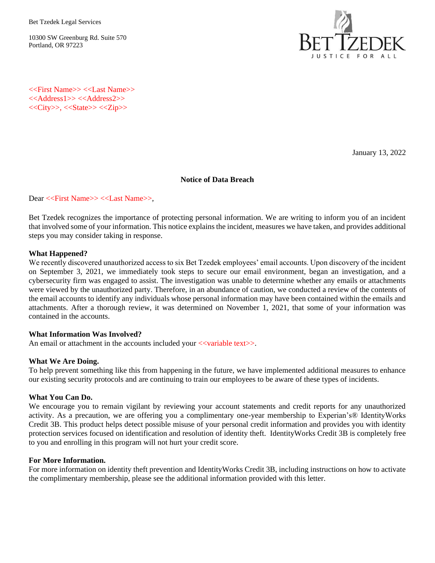Bet Tzedek Legal Services

10300 SW Greenburg Rd. Suite 570 Portland, OR 97223



<<First Name>> <<Last Name>> <<Address1>> <<Address2>>  $<<$ City>>,  $<<$ State>> $<<$ Zip>>

January 13, 2022

#### **Notice of Data Breach**

#### Dear <<First Name>> <<Last Name>>,

Bet Tzedek recognizes the importance of protecting personal information. We are writing to inform you of an incident that involved some of your information. This notice explains the incident, measures we have taken, and provides additional steps you may consider taking in response.

#### **What Happened?**

We recently discovered unauthorized access to six Bet Tzedek employees' email accounts. Upon discovery of the incident on September 3, 2021, we immediately took steps to secure our email environment, began an investigation, and a cybersecurity firm was engaged to assist. The investigation was unable to determine whether any emails or attachments were viewed by the unauthorized party. Therefore, in an abundance of caution, we conducted a review of the contents of the email accounts to identify any individuals whose personal information may have been contained within the emails and attachments. After a thorough review, it was determined on November 1, 2021, that some of your information was contained in the accounts.

### **What Information Was Involved?**

An email or attachment in the accounts included your <<variable text>>.

### **What We Are Doing.**

To help prevent something like this from happening in the future, we have implemented additional measures to enhance our existing security protocols and are continuing to train our employees to be aware of these types of incidents.

### **What You Can Do.**

We encourage you to remain vigilant by reviewing your account statements and credit reports for any unauthorized activity. As a precaution, we are offering you a complimentary one-year membership to Experian's® IdentityWorks Credit 3B. This product helps detect possible misuse of your personal credit information and provides you with identity protection services focused on identification and resolution of identity theft. IdentityWorks Credit 3B is completely free to you and enrolling in this program will not hurt your credit score.

#### **For More Information.**

For more information on identity theft prevention and IdentityWorks Credit 3B, including instructions on how to activate the complimentary membership, please see the additional information provided with this letter.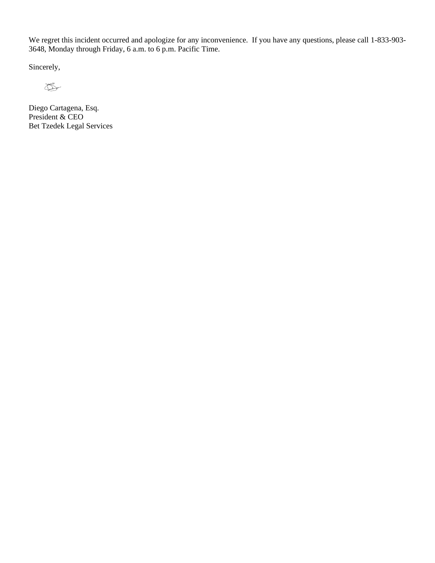We regret this incident occurred and apologize for any inconvenience. If you have any questions, please call 1-833-903- 3648, Monday through Friday, 6 a.m. to 6 p.m. Pacific Time.

Sincerely,

 $\bigotimes$ 

Diego Cartagena, Esq. President & CEO Bet Tzedek Legal Services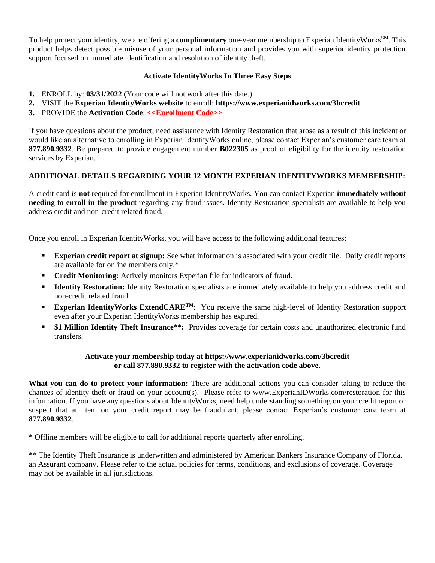To help protect your identity, we are offering a **complimentary** one-year membership to Experian IdentityWorks<sup>SM</sup>. This product helps detect possible misuse of your personal information and provides you with superior identity protection support focused on immediate identification and resolution of identity theft.

# **Activate IdentityWorks In Three Easy Steps**

- **1.** ENROLL by: **03/31/2022 (**Your code will not work after this date.)
- **2.** VISIT the **Experian IdentityWorks website** to enroll: **[https://www.experianidworks.com/3bcredit](https://urldefense.com/v3/__https:/www.experianidworks.com/3bcredit__;!!FRfqb9lMRA!ic0FVMqd0o0BGOa-AJuK3kI69YmFFG0o7UlXReudB8pqq46Z2FK7gTriWVgGu1Wu$)**
- **3.** PROVIDE the **Activation Code**: **<<Enrollment Code>>**

If you have questions about the product, need assistance with Identity Restoration that arose as a result of this incident or would like an alternative to enrolling in Experian IdentityWorks online, please contact Experian's customer care team at **877.890.9332**. Be prepared to provide engagement number **B022305** as proof of eligibility for the identity restoration services by Experian.

# **ADDITIONAL DETAILS REGARDING YOUR 12 MONTH EXPERIAN IDENTITYWORKS MEMBERSHIP:**

A credit card is **not** required for enrollment in Experian IdentityWorks. You can contact Experian **immediately without needing to enroll in the product** regarding any fraud issues. Identity Restoration specialists are available to help you address credit and non-credit related fraud.

Once you enroll in Experian IdentityWorks, you will have access to the following additional features:

- **Experian credit report at signup:** See what information is associated with your credit file. Daily credit reports are available for online members only.\*
- **Credit Monitoring:** Actively monitors Experian file for indicators of fraud.
- **Identity Restoration:** Identity Restoration specialists are immediately available to help you address credit and non-credit related fraud.
- **Experian IdentityWorks ExtendCARE<sup>TM</sup>:** You receive the same high-level of Identity Restoration support even after your Experian IdentityWorks membership has expired.
- **\$1 Million Identity Theft Insurance\*\*:** Provides coverage for certain costs and unauthorized electronic fund transfers.

# **Activate your membership today at https://www.experianidworks.com/3bcredit or call 877.890.9332 to register with the activation code above.**

**What you can do to protect your information:** There are additional actions you can consider taking to reduce the chances of identity theft or fraud on your account(s). Please refer to www.ExperianIDWorks.com/restoration for this information. If you have any questions about IdentityWorks, need help understanding something on your credit report or suspect that an item on your credit report may be fraudulent, please contact Experian's customer care team at **877.890.9332**.

\* Offline members will be eligible to call for additional reports quarterly after enrolling.

\*\* The Identity Theft Insurance is underwritten and administered by American Bankers Insurance Company of Florida, an Assurant company. Please refer to the actual policies for terms, conditions, and exclusions of coverage. Coverage may not be available in all jurisdictions.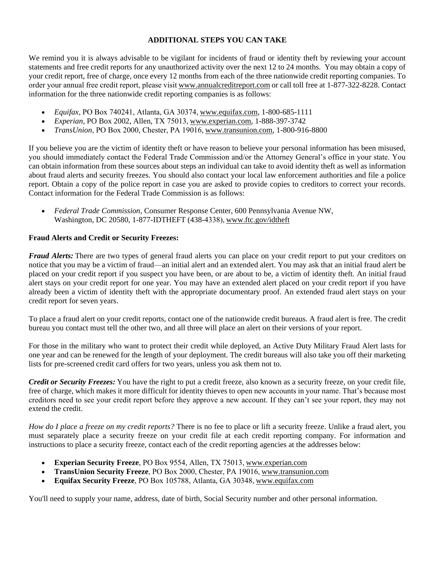### **ADDITIONAL STEPS YOU CAN TAKE**

We remind you it is always advisable to be vigilant for incidents of fraud or identity theft by reviewing your account statements and free credit reports for any unauthorized activity over the next 12 to 24 months. You may obtain a copy of your credit report, free of charge, once every 12 months from each of the three nationwide credit reporting companies. To order your annual free credit report, please visi[t www.annualcreditreport.com](https://www.annualcreditreport.com/) or call toll free at 1-877-322-8228. Contact information for the three nationwide credit reporting companies is as follows:

- *Equifax*, PO Box 740241, Atlanta, GA 30374[, www.equifax.com,](https://www.equifax.com/) 1-800-685-1111
- *Experian*, PO Box 2002, Allen, TX 75013[, www.experian.com,](https://www.experian.com/) 1-888-397-3742
- *TransUnion*, PO Box 2000, Chester, PA 19016,[www.transunion.com,](https://www.transunion.com/) 1-800-916-8800

If you believe you are the victim of identity theft or have reason to believe your personal information has been misused, you should immediately contact the Federal Trade Commission and/or the Attorney General's office in your state. You can obtain information from these sources about steps an individual can take to avoid identity theft as well as information about fraud alerts and security freezes. You should also contact your local law enforcement authorities and file a police report. Obtain a copy of the police report in case you are asked to provide copies to creditors to correct your records. Contact information for the Federal Trade Commission is as follows:

• *Federal Trade Commission*, Consumer Response Center, 600 Pennsylvania Avenue NW, Washington, DC 20580, 1-877-IDTHEFT (438-4338)[, www.ftc.gov/idtheft](https://www.ftc.gov/idtheft)

### **Fraud Alerts and Credit or Security Freezes:**

*Fraud Alerts:* There are two types of general fraud alerts you can place on your credit report to put your creditors on notice that you may be a victim of fraud—an initial alert and an extended alert. You may ask that an initial fraud alert be placed on your credit report if you suspect you have been, or are about to be, a victim of identity theft. An initial fraud alert stays on your credit report for one year. You may have an extended alert placed on your credit report if you have already been a victim of identity theft with the appropriate documentary proof. An extended fraud alert stays on your credit report for seven years.

To place a fraud alert on your credit reports, contact one of the nationwide credit bureaus. A fraud alert is free. The credit bureau you contact must tell the other two, and all three will place an alert on their versions of your report.

For those in the military who want to protect their credit while deployed, an Active Duty Military Fraud Alert lasts for one year and can be renewed for the length of your deployment. The credit bureaus will also take you off their marketing lists for pre-screened credit card offers for two years, unless you ask them not to.

*Credit or Security Freezes:* You have the right to put a credit freeze, also known as a security freeze, on your credit file, free of charge, which makes it more difficult for identity thieves to open new accounts in your name. That's because most creditors need to see your credit report before they approve a new account. If they can't see your report, they may not extend the credit.

*How do I place a freeze on my credit reports?* There is no fee to place or lift a security freeze. Unlike a fraud alert, you must separately place a security freeze on your credit file at each credit reporting company. For information and instructions to place a security freeze, contact each of the credit reporting agencies at the addresses below:

- **Experian Security Freeze**, PO Box 9554, Allen, TX 75013[, www.experian.com](https://www.experian.com/)
- **TransUnion Security Freeze**, PO Box 2000, Chester, PA 19016[, www.transunion.com](https://www.transunion.com/)
- **Equifax Security Freeze**, PO Box 105788, Atlanta, GA 30348[, www.equifax.com](https://www.equifax.com/)

You'll need to supply your name, address, date of birth, Social Security number and other personal information.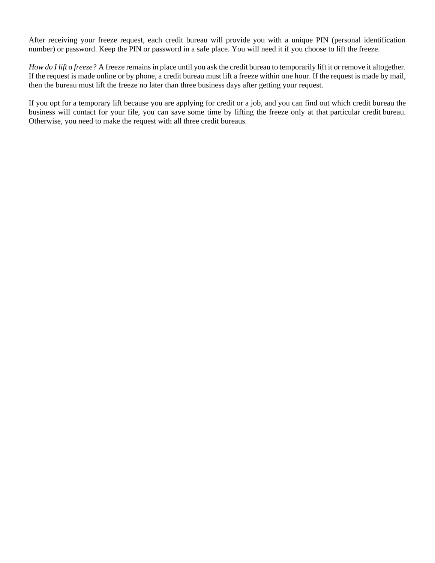After receiving your freeze request, each credit bureau will provide you with a unique PIN (personal identification number) or password. Keep the PIN or password in a safe place. You will need it if you choose to lift the freeze.

*How do I lift a freeze?* A freeze remains in place until you ask the credit bureau to temporarily lift it or remove it altogether. If the request is made online or by phone, a credit bureau must lift a freeze within one hour. If the request is made by mail, then the bureau must lift the freeze no later than three business days after getting your request.

If you opt for a temporary lift because you are applying for credit or a job, and you can find out which credit bureau the business will contact for your file, you can save some time by lifting the freeze only at that particular credit bureau. Otherwise, you need to make the request with all three credit bureaus.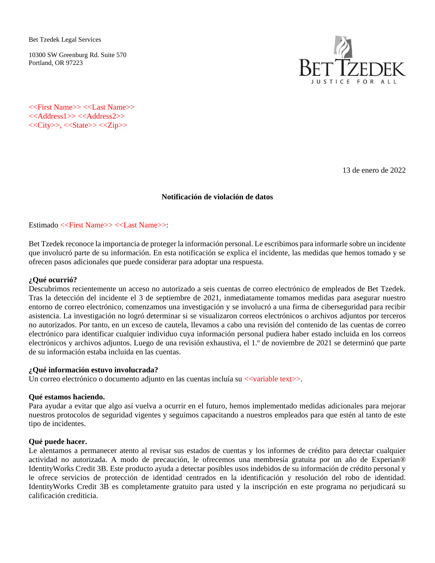Bet Tzedek Legal Services

10300 SW Greenburg Rd. Suite 570 Portland, OR 97223



<<First Name>> <<Last Name>> <<Address1>> <<Address2>> <<City>>, <<State>> <<Zip>>

13 de enero de 2022

#### **Notificación de violación de datos**

Estimado <<First Name>> <<Last Name>>:

Bet Tzedek reconoce la importancia de proteger la información personal. Le escribimos para informarle sobre un incidente que involucró parte de su información. En esta notificación se explica el incidente, las medidas que hemos tomado y se ofrecen pasos adicionales que puede considerar para adoptar una respuesta.

### **¿Qué ocurrió?**

Descubrimos recientemente un acceso no autorizado a seis cuentas de correo electrónico de empleados de Bet Tzedek. Tras la detección del incidente el 3 de septiembre de 2021, inmediatamente tomamos medidas para asegurar nuestro entorno de correo electrónico, comenzamos una investigación y se involucró a una firma de ciberseguridad para recibir asistencia. La investigación no logró determinar si se visualizaron correos electrónicos o archivos adjuntos por terceros no autorizados. Por tanto, en un exceso de cautela, llevamos a cabo una revisión del contenido de las cuentas de correo electrónico para identificar cualquier individuo cuya información personal pudiera haber estado incluida en los correos electrónicos y archivos adjuntos. Luego de una revisión exhaustiva, el 1.º de noviembre de 2021 se determinó que parte de su información estaba incluida en las cuentas.

### **¿Qué información estuvo involucrada?**

Un correo electrónico o documento adjunto en las cuentas incluía su <<variable text>>.

#### **Qué estamos haciendo.**

Para ayudar a evitar que algo así vuelva a ocurrir en el futuro, hemos implementado medidas adicionales para mejorar nuestros protocolos de seguridad vigentes y seguimos capacitando a nuestros empleados para que estén al tanto de este tipo de incidentes.

#### **Qué puede hacer.**

Le alentamos a permanecer atento al revisar sus estados de cuentas y los informes de crédito para detectar cualquier actividad no autorizada. A modo de precaución, le ofrecemos una membresía gratuita por un año de Experian® IdentityWorks Credit 3B. Este producto ayuda a detectar posibles usos indebidos de su información de crédito personal y le ofrece servicios de protección de identidad centrados en la identificación y resolución del robo de identidad. IdentityWorks Credit 3B es completamente gratuito para usted y la inscripción en este programa no perjudicará su calificación crediticia.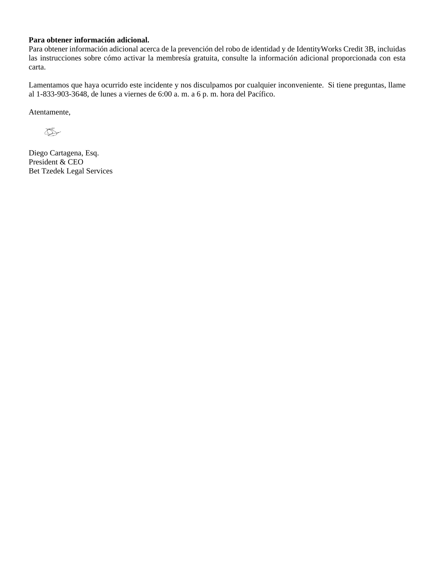# **Para obtener información adicional.**

Para obtener información adicional acerca de la prevención del robo de identidad y de IdentityWorks Credit 3B, incluidas las instrucciones sobre cómo activar la membresía gratuita, consulte la información adicional proporcionada con esta carta.

Lamentamos que haya ocurrido este incidente y nos disculpamos por cualquier inconveniente. Si tiene preguntas, llame al 1-833-903-3648, de lunes a viernes de 6:00 a. m. a 6 p. m. hora del Pacífico.

Atentamente,

</del>

Diego Cartagena, Esq. President & CEO Bet Tzedek Legal Services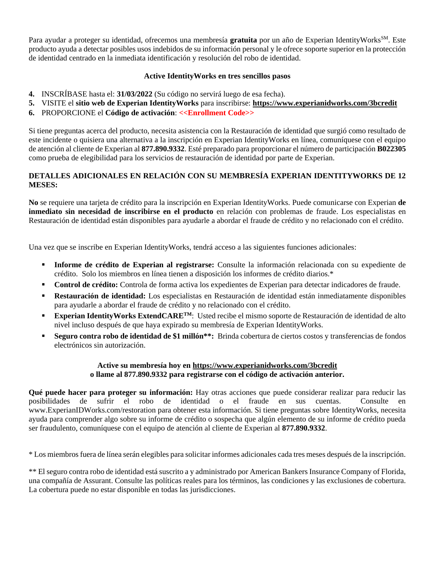Para ayudar a proteger su identidad, ofrecemos una membresía **gratuita** por un año de Experian IdentityWorks<sup>SM</sup>. Este producto ayuda a detectar posibles usos indebidos de su información personal y le ofrece soporte superior en la protección de identidad centrado en la inmediata identificación y resolución del robo de identidad.

# **Active IdentityWorks en tres sencillos pasos**

- **4.** INSCRÍBASE hasta el: **31/03/2022** (Su código no servirá luego de esa fecha).
- **5.** VISITE el **sitio web de Experian IdentityWorks** para inscribirse: **[https://www.experianidworks.com/3bcredit](https://urldefense.com/v3/__https:/www.experianidworks.com/3bcredit__;!!FRfqb9lMRA!ic0FVMqd0o0BGOa-AJuK3kI69YmFFG0o7UlXReudB8pqq46Z2FK7gTriWVgGu1Wu$)**
- **6.** PROPORCIONE el **Código de activación**: **<<Enrollment Code>>**

Si tiene preguntas acerca del producto, necesita asistencia con la Restauración de identidad que surgió como resultado de este incidente o quisiera una alternativa a la inscripción en Experian IdentityWorks en línea, comuníquese con el equipo de atención al cliente de Experian al **877.890.9332**. Esté preparado para proporcionar el número de participación **B022305** como prueba de elegibilidad para los servicios de restauración de identidad por parte de Experian.

# **DETALLES ADICIONALES EN RELACIÓN CON SU MEMBRESÍA EXPERIAN IDENTITYWORKS DE 12 MESES:**

**No** se requiere una tarjeta de crédito para la inscripción en Experian IdentityWorks. Puede comunicarse con Experian **de inmediato sin necesidad de inscribirse en el producto** en relación con problemas de fraude. Los especialistas en Restauración de identidad están disponibles para ayudarle a abordar el fraude de crédito y no relacionado con el crédito.

Una vez que se inscribe en Experian IdentityWorks, tendrá acceso a las siguientes funciones adicionales:

- **Informe de crédito de Experian al registrarse:** Consulte la información relacionada con su expediente de crédito. Solo los miembros en línea tienen a disposición los informes de crédito diarios.\*
- **Control de crédito:** Controla de forma activa los expedientes de Experian para detectar indicadores de fraude.
- **Restauración de identidad:** Los especialistas en Restauración de identidad están inmediatamente disponibles para ayudarle a abordar el fraude de crédito y no relacionado con el crédito.
- **Experian IdentityWorks ExtendCARETM**: Usted recibe el mismo soporte de Restauración de identidad de alto nivel incluso después de que haya expirado su membresía de Experian IdentityWorks.
- **Seguro contra robo de identidad de \$1 millón\*\*:** Brinda cobertura de ciertos costos y transferencias de fondos electrónicos sin autorización.

### **Active su membresía hoy en https://www.experianidworks.com/3bcredit o llame al 877.890.9332 para registrarse con el código de activación anterior.**

**Qué puede hacer para proteger su información:** Hay otras acciones que puede considerar realizar para reducir las posibilidades de sufrir el robo de identidad o el fraude en sus cuentas. Consulte en www.ExperianIDWorks.com/restoration para obtener esta información. Si tiene preguntas sobre IdentityWorks, necesita ayuda para comprender algo sobre su informe de crédito o sospecha que algún elemento de su informe de crédito pueda ser fraudulento, comuníquese con el equipo de atención al cliente de Experian al **877.890.9332**.

\* Los miembros fuera de línea serán elegibles para solicitar informes adicionales cada tres meses después de la inscripción.

\*\* El seguro contra robo de identidad está suscrito a y administrado por American Bankers Insurance Company of Florida, una compañía de Assurant. Consulte las políticas reales para los términos, las condiciones y las exclusiones de cobertura. La cobertura puede no estar disponible en todas las jurisdicciones.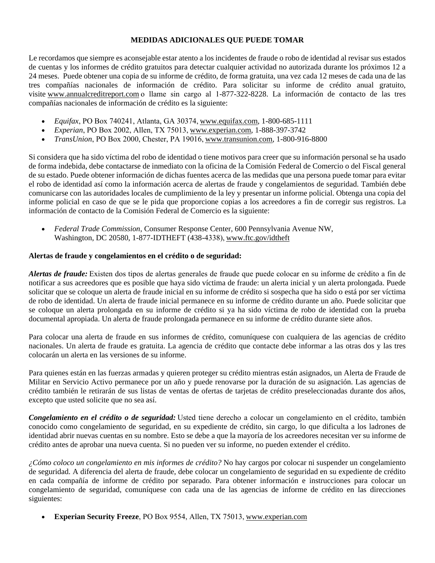### **MEDIDAS ADICIONALES QUE PUEDE TOMAR**

Le recordamos que siempre es aconsejable estar atento a los incidentes de fraude o robo de identidad al revisar sus estados de cuentas y los informes de crédito gratuitos para detectar cualquier actividad no autorizada durante los próximos 12 a 24 meses. Puede obtener una copia de su informe de crédito, de forma gratuita, una vez cada 12 meses de cada una de las tres compañías nacionales de información de crédito. Para solicitar su informe de crédito anual gratuito, visite [www.annualcreditreport.com](https://www.annualcreditreport.com/)o llame sin cargo al 1-877-322-8228. La información de contacto de las tres compañías nacionales de información de crédito es la siguiente:

- *Equifax*, PO Box 740241, Atlanta, GA 30374[, www.equifax.com,](https://www.equifax.com/) 1-800-685-1111
- *Experian*, PO Box 2002, Allen, TX 75013[, www.experian.com,](https://www.experian.com/) 1-888-397-3742
- *TransUnion*, PO Box 2000, Chester, PA 19016,[www.transunion.com,](https://www.transunion.com/) 1-800-916-8800

Si considera que ha sido víctima del robo de identidad o tiene motivos para creer que su información personal se ha usado de forma indebida, debe contactarse de inmediato con la oficina de la Comisión Federal de Comercio o del Fiscal general de su estado. Puede obtener información de dichas fuentes acerca de las medidas que una persona puede tomar para evitar el robo de identidad así como la información acerca de alertas de fraude y congelamientos de seguridad. También debe comunicarse con las autoridades locales de cumplimiento de la ley y presentar un informe policial. Obtenga una copia del informe policial en caso de que se le pida que proporcione copias a los acreedores a fin de corregir sus registros. La información de contacto de la Comisión Federal de Comercio es la siguiente:

• *Federal Trade Commission*, Consumer Response Center, 600 Pennsylvania Avenue NW, Washington, DC 20580, 1-877-IDTHEFT (438-4338)[, www.ftc.gov/idtheft](https://www.ftc.gov/idtheft)

### **Alertas de fraude y congelamientos en el crédito o de seguridad:**

*Alertas de fraude:* Existen dos tipos de alertas generales de fraude que puede colocar en su informe de crédito a fin de notificar a sus acreedores que es posible que haya sido víctima de fraude: un alerta inicial y un alerta prolongada. Puede solicitar que se coloque un alerta de fraude inicial en su informe de crédito si sospecha que ha sido o está por ser víctima de robo de identidad. Un alerta de fraude inicial permanece en su informe de crédito durante un año. Puede solicitar que se coloque un alerta prolongada en su informe de crédito si ya ha sido víctima de robo de identidad con la prueba documental apropiada. Un alerta de fraude prolongada permanece en su informe de crédito durante siete años.

Para colocar una alerta de fraude en sus informes de crédito, comuníquese con cualquiera de las agencias de crédito nacionales. Un alerta de fraude es gratuita. La agencia de crédito que contacte debe informar a las otras dos y las tres colocarán un alerta en las versiones de su informe.

Para quienes están en las fuerzas armadas y quieren proteger su crédito mientras están asignados, un Alerta de Fraude de Militar en Servicio Activo permanece por un año y puede renovarse por la duración de su asignación. Las agencias de crédito también le retirarán de sus listas de ventas de ofertas de tarjetas de crédito preseleccionadas durante dos años, excepto que usted solicite que no sea así.

*Congelamiento en el crédito o de seguridad:* Usted tiene derecho a colocar un congelamiento en el crédito, también conocido como congelamiento de seguridad, en su expediente de crédito, sin cargo, lo que dificulta a los ladrones de identidad abrir nuevas cuentas en su nombre. Esto se debe a que la mayoría de los acreedores necesitan ver su informe de crédito antes de aprobar una nueva cuenta. Si no pueden ver su informe, no pueden extender el crédito.

*¿Cómo coloco un congelamiento en mis informes de crédito?* No hay cargos por colocar ni suspender un congelamiento de seguridad. A diferencia del alerta de fraude, debe colocar un congelamiento de seguridad en su expediente de crédito en cada compañía de informe de crédito por separado. Para obtener información e instrucciones para colocar un congelamiento de seguridad, comuníquese con cada una de las agencias de informe de crédito en las direcciones siguientes:

• **Experian Security Freeze**, PO Box 9554, Allen, TX 75013[, www.experian.com](https://www.experian.com/)